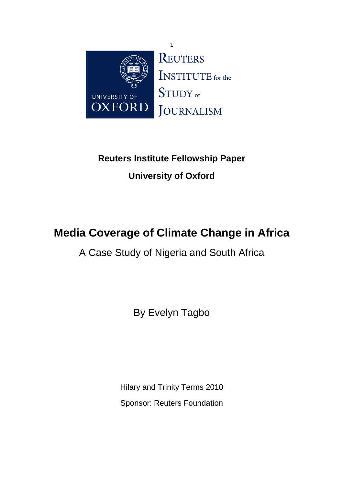

# **Reuters Institute Fellowship Paper University of Oxford**

# **Media Coverage of Climate Change in Africa**

A Case Study of Nigeria and South Africa

By Evelyn Tagbo

Hilary and Trinity Terms 2010 Sponsor: Reuters Foundation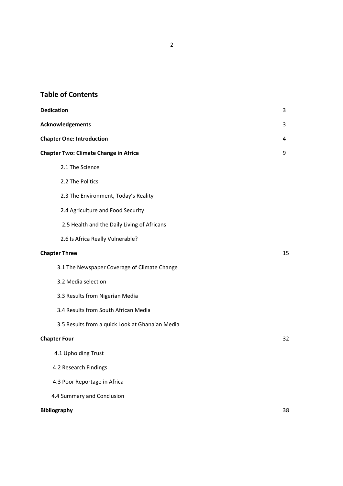## Table of Contents

| <b>Dedication</b>                               | 3  |
|-------------------------------------------------|----|
| Acknowledgements                                | 3  |
| <b>Chapter One: Introduction</b>                | 4  |
| <b>Chapter Two: Climate Change in Africa</b>    | 9  |
| 2.1 The Science                                 |    |
| 2.2 The Politics                                |    |
| 2.3 The Environment, Today's Reality            |    |
| 2.4 Agriculture and Food Security               |    |
| 2.5 Health and the Daily Living of Africans     |    |
| 2.6 Is Africa Really Vulnerable?                |    |
| <b>Chapter Three</b>                            | 15 |
| 3.1 The Newspaper Coverage of Climate Change    |    |
| 3.2 Media selection                             |    |
| 3.3 Results from Nigerian Media                 |    |
| 3.4 Results from South African Media            |    |
| 3.5 Results from a quick Look at Ghanaian Media |    |
| <b>Chapter Four</b>                             | 32 |
| 4.1 Upholding Trust                             |    |
| 4.2 Research Findings                           |    |
| 4.3 Poor Reportage in Africa                    |    |
| 4.4 Summary and Conclusion                      |    |
| <b>Bibliography</b>                             | 38 |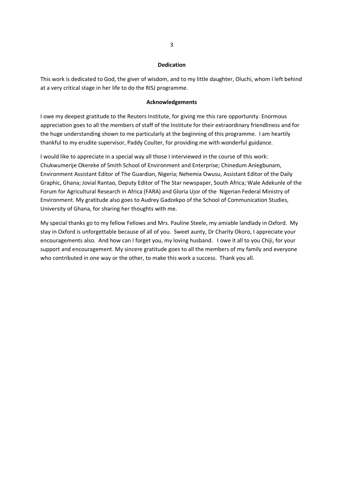#### Dedication

This work is dedicated to God, the giver of wisdom, and to my little daughter, Oluchi, whom I left behind at a very critical stage in her life to do the RISJ programme.

#### Acknowledgements

I owe my deepest gratitude to the Reuters Institute, for giving me this rare opportunity. Enormous appreciation goes to all the members of staff of the Institute for their extraordinary friendliness and for the huge understanding shown to me particularly at the beginning of this programme. I am heartily thankful to my erudite supervisor, Paddy Coulter, for providing me with wonderful guidance.

I would like to appreciate in a special way all those I interviewed in the course of this work: Chukwumerije Okereke of Smith School of Environment and Enterprise; Chinedum Aniegbunam, Environment Assistant Editor of The Guardian, Nigeria; Nehemia Owusu, Assistant Editor of the Daily Graphic, Ghana; Jovial Rantao, Deputy Editor of The Star newspaper, South Africa; Wale Adekunle of the Forum for Agricultural Research in Africa (FARA) and Gloria Ujor of the Nigerian Federal Ministry of Environment. My gratitude also goes to Audrey Gadzekpo of the School of Communication Studies, University of Ghana, for sharing her thoughts with me.

My special thanks go to my fellow Fellows and Mrs. Pauline Steele, my amiable landlady in Oxford. My stay in Oxford is unforgettable because of all of you. Sweet aunty, Dr Charity Okoro, I appreciate your encouragements also. And how can I forget you, my loving husband. I owe it all to you Chiji, for your support and encouragement. My sincere gratitude goes to all the members of my family and everyone who contributed in one way or the other, to make this work a success. Thank you all.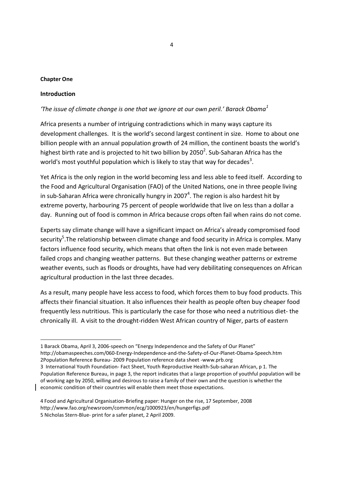#### Chapter One

#### Introduction

<u>.</u>

### 'The issue of climate change is one that we ignore at our own peril.' Barack Obama $^1$

Africa presents a number of intriguing contradictions which in many ways capture its development challenges. It is the world's second largest continent in size. Home to about one billion people with an annual population growth of 24 million, the continent boasts the world's highest birth rate and is projected to hit two billion by 2050<sup>2</sup>. Sub-Saharan Africa has the world's most youthful population which is likely to stay that way for decades<sup>3</sup>.

Yet Africa is the only region in the world becoming less and less able to feed itself. According to the Food and Agricultural Organisation (FAO) of the United Nations, one in three people living in sub-Saharan Africa were chronically hungry in 2007<sup>4</sup>. The region is also hardest hit by extreme poverty, harbouring 75 percent of people worldwide that live on less than a dollar a day. Running out of food is common in Africa because crops often fail when rains do not come.

Experts say climate change will have a significant impact on Africa's already compromised food security<sup>5</sup>.The relationship between climate change and food security in Africa is complex. Many factors influence food security, which means that often the link is not even made between failed crops and changing weather patterns. But these changing weather patterns or extreme weather events, such as floods or droughts, have had very debilitating consequences on African agricultural production in the last three decades.

As a result, many people have less access to food, which forces them to buy food products. This affects their financial situation. It also influences their health as people often buy cheaper food frequently less nutritious. This is particularly the case for those who need a nutritious diet- the chronically ill. A visit to the drought-ridden West African country of Niger, parts of eastern

- 3 International Youth Foundation- Fact Sheet, Youth Reproductive Health-Sub-saharan African, p 1. The Population Reference Bureau, in page 3, the report indicates that a large proportion of youthful population will be of working age by 2050, willing and desirous to raise a family of their own and the question is whether the economic condition of their countries will enable them meet those expectations.
- 4 Food and Agricultural Organisation-Briefing paper: Hunger on the rise, 17 September, 2008 http://www.fao.org/newsroom/common/ecg/1000923/en/hungerfigs.pdf 5 Nicholas Stern-Blue- print for a safer planet, 2 April 2009.

<sup>1</sup> Barack Obama, April 3, 2006-speech on "Energy Independence and the Safety of Our Planet" http://obamaspeeches.com/060-Energy-Independence-and-the-Safety-of-Our-Planet-Obama-Speech.htm 2Population Reference Bureau- 2009 Population reference data sheet -www.prb.org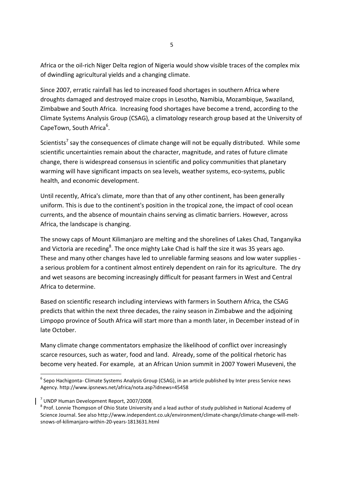Africa or the oil-rich Niger Delta region of Nigeria would show visible traces of the complex mix of dwindling agricultural yields and a changing climate.

Since 2007, erratic rainfall has led to increased food shortages in southern Africa where droughts damaged and destroyed maize crops in Lesotho, Namibia, Mozambique, Swaziland, Zimbabwe and South Africa. Increasing food shortages have become a trend, according to the Climate Systems Analysis Group (CSAG), a climatology research group based at the University of CapeTown, South Africa<sup>6</sup>.

Scientists<sup>7</sup> say the consequences of climate change will not be equally distributed. While some scientific uncertainties remain about the character, magnitude, and rates of future climate change, there is widespread consensus in scientific and policy communities that planetary warming will have significant impacts on sea levels, weather systems, eco-systems, public health, and economic development.

Until recently, Africa's climate, more than that of any other continent, has been generally uniform. This is due to the continent's position in the tropical zone, the impact of cool ocean currents, and the absence of mountain chains serving as climatic barriers. However, across Africa, the landscape is changing.

The snowy caps of Mount Kilimanjaro are melting and the shorelines of Lakes Chad, Tanganyika and Victoria are receding<sup>8</sup>. The once mighty Lake Chad is half the size it was 35 years ago. These and many other changes have led to unreliable farming seasons and low water supplies a serious problem for a continent almost entirely dependent on rain for its agriculture. The dry and wet seasons are becoming increasingly difficult for peasant farmers in West and Central Africa to determine.

Based on scientific research including interviews with farmers in Southern Africa, the CSAG predicts that within the next three decades, the rainy season in Zimbabwe and the adjoining Limpopo province of South Africa will start more than a month later, in December instead of in late October.

Many climate change commentators emphasize the likelihood of conflict over increasingly scarce resources, such as water, food and land. Already, some of the political rhetoric has become very heated. For example, at an African Union summit in 2007 Yoweri Museveni, the

.<br>-

 $^6$  Sepo Hachigonta- Climate Systems Analysis Group (CSAG), in an article published by Inter press Service news Agency. http://www.ipsnews.net/africa/nota.asp?idnews=45458

<sup>&</sup>lt;sup>7</sup> UNDP Human Development Report, 2007/2008.

<sup>&</sup>lt;sup>8</sup> Prof. Lonnie Thompson of Ohio State University and a lead author of study published in National Academy of Science Journal. See also http://www.independent.co.uk/environment/climate-change/climate-change-will-meltsnows-of-kilimanjaro-within-20-years-1813631.html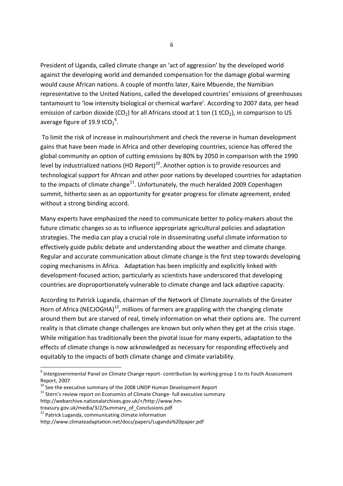President of Uganda, called climate change an 'act of aggression' by the developed world against the developing world and demanded compensation for the damage global warming would cause African nations. A couple of months later, Kaire Mbuende, the Namibian representative to the United Nations, called the developed countries' emissions of greenhouses tantamount to 'low intensity biological or chemical warfare'. According to 2007 data, per head emission of carbon dioxide (CO<sub>2</sub>) for all Africans stood at 1 ton (1 tCO<sub>2</sub>), in comparison to US average figure of 19.9 tCO<sub>2</sub><sup>9</sup>.

 To limit the risk of increase in malnourishment and check the reverse in human development gains that have been made in Africa and other developing countries, science has offered the global community an option of cutting emissions by 80% by 2050 in comparison with the 1990 level by industrialized nations (HD Report) $10$ . Another option is to provide resources and technological support for African and other poor nations by developed countries for adaptation to the impacts of climate change<sup>11</sup>. Unfortunately, the much heralded 2009 Copenhagen summit, hitherto seen as an opportunity for greater progress for climate agreement, ended without a strong binding accord.

Many experts have emphasized the need to communicate better to policy-makers about the future climatic changes so as to influence appropriate agricultural policies and adaptation strategies. The media can play a crucial role in disseminating useful climate information to effectively guide public debate and understanding about the weather and climate change. Regular and accurate communication about climate change is the first step towards developing coping mechanisms in Africa. Adaptation has been implicitly and explicitly linked with development-focused action, particularly as scientists have underscored that developing countries are disproportionately vulnerable to climate change and lack adaptive capacity.

According to Patrick Luganda, chairman of the Network of Climate Journalists of the Greater Horn of Africa (NECJOGHA)<sup>12</sup>, millions of farmers are grappling with the changing climate around them but are starved of real, timely information on what their options are. The current reality is that climate change challenges are known but only when they get at the crisis stage. While mitigation has traditionally been the pivotal issue for many experts, adaptation to the effects of climate change is now acknowledged as necessary for responding effectively and equitably to the impacts of both climate change and climate variability.

.<br>-

<sup>&</sup>lt;sup>9</sup> Intergovernmental Panel on Climate Change report- contribution by working group 1 to its Fouth Assessment Report, 2007

 $10$  See the executive summary of the 2008 UNDP Human Development Report

 $11$  Stern's review report on Economics of Climate Change- full executive summary

http://webarchive.nationalarchives.gov.uk/+/http://www.hm-

treasury.gov.uk/media/3/2/Summary\_of\_Conclusions.pdf

<sup>12</sup> Patrick Luganda, communicating climate information

http://www.climateadaptation.net/docs/papers/Luganda%20paper.pdf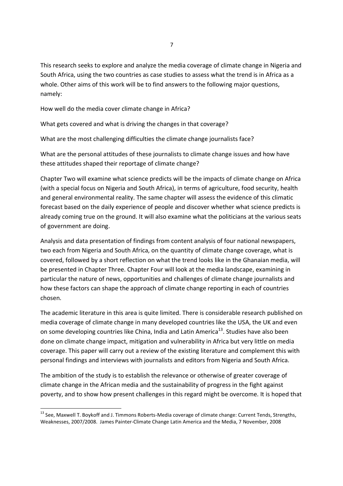This research seeks to explore and analyze the media coverage of climate change in Nigeria and South Africa, using the two countries as case studies to assess what the trend is in Africa as a whole. Other aims of this work will be to find answers to the following major questions, namely:

How well do the media cover climate change in Africa?

What gets covered and what is driving the changes in that coverage?

What are the most challenging difficulties the climate change journalists face?

What are the personal attitudes of these journalists to climate change issues and how have these attitudes shaped their reportage of climate change?

Chapter Two will examine what science predicts will be the impacts of climate change on Africa (with a special focus on Nigeria and South Africa), in terms of agriculture, food security, health and general environmental reality. The same chapter will assess the evidence of this climatic forecast based on the daily experience of people and discover whether what science predicts is already coming true on the ground. It will also examine what the politicians at the various seats of government are doing.

Analysis and data presentation of findings from content analysis of four national newspapers, two each from Nigeria and South Africa, on the quantity of climate change coverage, what is covered, followed by a short reflection on what the trend looks like in the Ghanaian media, will be presented in Chapter Three. Chapter Four will look at the media landscape, examining in particular the nature of news, opportunities and challenges of climate change journalists and how these factors can shape the approach of climate change reporting in each of countries chosen.

The academic literature in this area is quite limited. There is considerable research published on media coverage of climate change in many developed countries like the USA, the UK and even on some developing countries like China, India and Latin America<sup>13</sup>. Studies have also been done on climate change impact, mitigation and vulnerability in Africa but very little on media coverage. This paper will carry out a review of the existing literature and complement this with personal findings and interviews with journalists and editors from Nigeria and South Africa.

The ambition of the study is to establish the relevance or otherwise of greater coverage of climate change in the African media and the sustainability of progress in the fight against poverty, and to show how present challenges in this regard might be overcome. It is hoped that

<sup>&</sup>lt;sup>13</sup> See. Maxwell T. Boykoff and J. Timmons Roberts-Media coverage of climate change: Current Tends, Strengths, Weaknesses, 2007/2008. James Painter-Climate Change Latin America and the Media, 7 November, 2008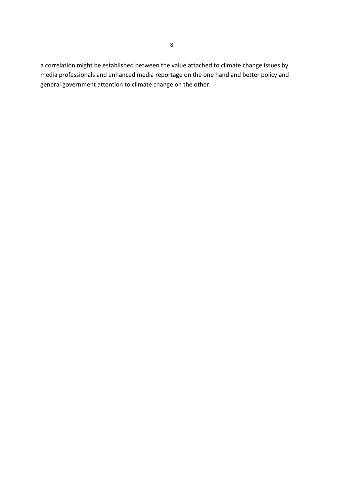a correlation might be established between the value attached to climate change issues by media professionals and enhanced media reportage on the one hand and better policy and general government attention to climate change on the other.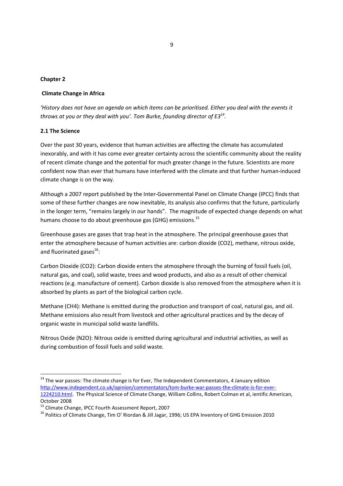#### Chapter 2

#### Climate Change in Africa

'History does not have an agenda on which items can be prioritised. Either you deal with the events it throws at you or they deal with you'. Tom Burke, founding director of  $E3^{14}$ .

#### 2.1 The Science

<u>.</u>

Over the past 30 years, evidence that human activities are affecting the climate has accumulated inexorably, and with it has come ever greater certainty across the scientific community about the reality of recent climate change and the potential for much greater change in the future. Scientists are more confident now than ever that humans have interfered with the climate and that further human-induced climate change is on the way.

Although a 2007 report published by the Inter-Governmental Panel on Climate Change (IPCC) finds that some of these further changes are now inevitable, its analysis also confirms that the future, particularly in the longer term, "remains largely in our hands". The magnitude of expected change depends on what humans choose to do about greenhouse gas (GHG) emissions.<sup>15</sup>

Greenhouse gases are gases that trap heat in the atmosphere. The principal greenhouse gases that enter the atmosphere because of human activities are: carbon dioxide (CO2), methane, nitrous oxide, and fluorinated gases<sup>16</sup>:

Carbon Dioxide (CO2): Carbon dioxide enters the atmosphere through the burning of fossil fuels (oil, natural gas, and coal), solid waste, trees and wood products, and also as a result of other chemical reactions (e.g. manufacture of cement). Carbon dioxide is also removed from the atmosphere when it is absorbed by plants as part of the biological carbon cycle.

Methane (CH4): Methane is emitted during the production and transport of coal, natural gas, and oil. Methane emissions also result from livestock and other agricultural practices and by the decay of organic waste in municipal solid waste landfills.

Nitrous Oxide (N2O): Nitrous oxide is emitted during agricultural and industrial activities, as well as during combustion of fossil fuels and solid waste.

<sup>&</sup>lt;sup>14</sup> The war passes: The climate change is for Ever, The Independent Commentators, 4 January edition http://www.independent.co.uk/opinion/commentators/tom-burke-war-passes-the-climate-is-for-ever-1224210.html. The Physical Science of Climate Change, William Collins, Robert Colman et al, ientific American, October 2008

<sup>&</sup>lt;sup>15</sup> Climate Change, IPCC Fourth Assessment Report, 2007

<sup>16</sup> Politics of Climate Change, Tim O' Riordan & Jill Jagar, 1996; US EPA Inventory of GHG Emission 2010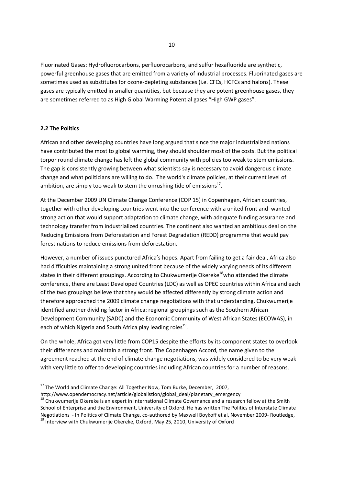Fluorinated Gases: Hydrofluorocarbons, perfluorocarbons, and sulfur hexafluoride are synthetic, powerful greenhouse gases that are emitted from a variety of industrial processes. Fluorinated gases are sometimes used as substitutes for ozone-depleting substances (i.e. CFCs, HCFCs and halons). These gases are typically emitted in smaller quantities, but because they are potent greenhouse gases, they are sometimes referred to as High Global Warming Potential gases "High GWP gases".

## 2.2 The Politics

<u>.</u>

African and other developing countries have long argued that since the major industrialized nations have contributed the most to global warming, they should shoulder most of the costs. But the political torpor round climate change has left the global community with policies too weak to stem emissions. The gap is consistently growing between what scientists say is necessary to avoid dangerous climate change and what politicians are willing to do. The world's climate policies, at their current level of ambition, are simply too weak to stem the onrushing tide of emissions $^{17}$ .

At the December 2009 UN Climate Change Conference (COP 15) in Copenhagen, African countries, together with other developing countries went into the conference with a united front and wanted strong action that would support adaptation to climate change, with adequate funding assurance and technology transfer from industrialized countries. The continent also wanted an ambitious deal on the Reducing Emissions from Deforestation and Forest Degradation (REDD) programme that would pay forest nations to reduce emissions from deforestation.

However, a number of issues punctured Africa's hopes. Apart from failing to get a fair deal, Africa also had difficulties maintaining a strong united front because of the widely varying needs of its different states in their different groupings. According to Chukwumerije Okereke<sup>18</sup>who attended the climate conference, there are Least Developed Countries (LDC) as well as OPEC countries within Africa and each of the two groupings believe that they would be affected differently by strong climate action and therefore approached the 2009 climate change negotiations with that understanding. Chukwumerije identified another dividing factor in Africa: regional groupings such as the Southern African Development Community (SADC) and the Economic Community of West African States (ECOWAS), in each of which Nigeria and South Africa play leading roles<sup>19</sup>.

On the whole, Africa got very little from COP15 despite the efforts by its component states to overlook their differences and maintain a strong front. The Copenhagen Accord, the name given to the agreement reached at the end of climate change negotiations, was widely considered to be very weak with very little to offer to developing countries including African countries for a number of reasons.

http://www.opendemocracy.net/article/globalistion/global\_deal/planetary\_emergency

<sup>&</sup>lt;sup>17</sup> The World and Climate Change: All Together Now, Tom Burke, December, 2007,

<sup>&</sup>lt;sup>18</sup> Chukwumerije Okereke is an expert in International Climate Governance and a research fellow at the Smith School of Enterprise and the Environment, University of Oxford. He has written The Politics of Interstate Climate Negotiations - In Politics of Climate Change, co-authored by Maxwell Boykoff et al, November 2009- Routledge, <sup>19</sup> Interview with Chukwumerije Okereke, Oxford, May 25, 2010, University of Oxford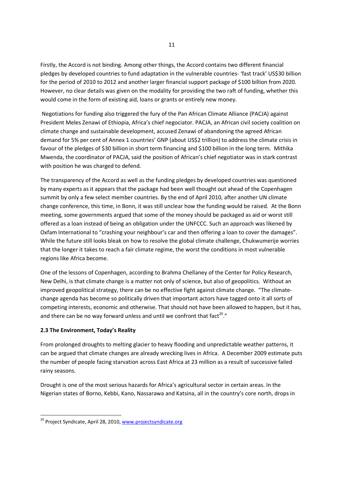Firstly, the Accord is not binding. Among other things, the Accord contains two different financial pledges by developed countries to fund adaptation in the vulnerable countries- 'fast track' US\$30 billion for the period of 2010 to 2012 and another larger financial support package of \$100 billion from 2020. However, no clear details was given on the modality for providing the two raft of funding, whether this would come in the form of existing aid, loans or grants or entirely new money.

 Negotiations for funding also triggered the fury of the Pan African Climate Alliance (PACJA) against President Meles Zenawi of Ethiopia, Africa's chief negociator. PACJA, an African civil society coalition on climate change and sustainable development, accused Zenawi of abandoning the agreed African demand for 5% per cent of Annex 1 countries' GNP (about US\$2 trillion) to address the climate crisis in favour of the pledges of \$30 billion in short term financing and \$100 billion in the long term. Mithika Mwenda, the coordinator of PACJA, said the position of African's chief negotiator was in stark contrast with position he was charged to defend.

The transparency of the Accord as well as the funding pledges by developed countries was questioned by many experts as it appears that the package had been well thought out ahead of the Copenhagen summit by only a few select member countries. By the end of April 2010, after another UN climate change conference, this time, in Bonn, it was still unclear how the funding would be raised. At the Bonn meeting, some governments argued that some of the money should be packaged as aid or worst still offered as a loan instead of being an obligation under the UNFCCC. Such an approach was likened by Oxfam International to "crashing your neighbour's car and then offering a loan to cover the damages". While the future still looks bleak on how to resolve the global climate challenge, Chukwumerije worries that the longer it takes to reach a fair climate regime, the worst the conditions in most vulnerable regions like Africa become.

One of the lessons of Copenhagen, according to Brahma Chellaney of the Center for Policy Research, New Delhi, is that climate change is a matter not only of science, but also of geopolitics. Without an improved geopolitical strategy, there can be no effective fight against climate change. "The climatechange agenda has become so politically driven that important actors have tagged onto it all sorts of competing interests, economic and otherwise. That should not have been allowed to happen, but it has, and there can be no way forward unless and until we confront that fact<sup>20</sup>."

#### 2.3 The Environment, Today's Reality

<u>.</u>

From prolonged droughts to melting glacier to heavy flooding and unpredictable weather patterns, it can be argued that climate changes are already wrecking lives in Africa. A December 2009 estimate puts the number of people facing starvation across East Africa at 23 million as a result of successive failed rainy seasons.

Drought is one of the most serious hazards for Africa's agricultural sector in certain areas. In the Nigerian states of Borno, Kebbi, Kano, Nassarawa and Katsina, all in the country's core north, drops in

<sup>&</sup>lt;sup>20</sup> Project Syndicate, April 28, 2010, www.projectsyndicate.org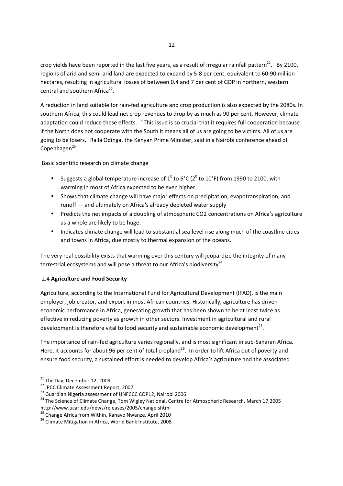crop yields have been reported in the last five years, as a result of irregular rainfall pattern<sup>21</sup>. By 2100, regions of arid and semi-arid land are expected to expand by 5-8 per cent, equivalent to 60-90 million hectares, resulting in agricultural losses of between 0.4 and 7 per cent of GDP in northern, western central and southern Africa<sup>22</sup>.

A reduction in land suitable for rain-fed agriculture and crop production is also expected by the 2080s. In southern Africa, this could lead net crop revenues to drop by as much as 90 per cent. However, climate adaptation could reduce these effects. "This issue is so crucial that it requires full cooperation because if the North does not cooperate with the South it means all of us are going to be victims. All of us are going to be losers," Raila Odinga, the Kenyan Prime Minister, said in a Nairobi conference ahead of Copenhagen<sup>23</sup>.

Basic scientific research on climate change

- Suggests a global temperature increase of  $1^0$  to 6°C (2<sup>0</sup> to 10°F) from 1990 to 2100, with warming in most of Africa expected to be even higher
- Shows that climate change will have major effects on precipitation, evapotranspiration, and runoff — and ultimately on Africa's already depleted water supply
- Predicts the net impacts of a doubling of atmospheric CO2 concentrations on Africa's agriculture as a whole are likely to be huge.
- Indicates climate change will lead to substantial sea-level rise along much of the coastline cities and towns in Africa, due mostly to thermal expansion of the oceans.

The very real possibility exists that warming over this century will jeopardize the integrity of many terrestrial ecosystems and will pose a threat to our Africa's biodiversity<sup>24</sup>.

## 2.4 Agriculture and Food Security

Agriculture, according to the International Fund for Agricultural Development (IFAD), is the main employer, job creator, and export in most African countries. Historically, agriculture has driven economic performance in Africa, generating growth that has been shown to be at least twice as effective in reducing poverty as growth in other sectors. Investment in agricultural and rural development is therefore vital to food security and sustainable economic development<sup>25</sup>.

The importance of rain-fed agriculture varies regionally, and is most significant in sub-Saharan Africa. Here, it accounts for about 96 per cent of total cropland<sup>26</sup>. In order to lift Africa out of poverty and ensure food security, a sustained effort is needed to develop Africa's agriculture and the associated

<sup>&</sup>lt;sup>21</sup> ThisDay, December 12, 2009

<sup>22</sup> IPCC Climate Assessment Report, 2007

<sup>&</sup>lt;sup>23</sup> Guardian Nigeria assessment of UNFCCC COP12, Nairobi 2006

<sup>&</sup>lt;sup>24</sup> The Science of Climate Change, Tom Wigley National, Centre for Atmospheric Research, March 17,2005 http://www.ucar.edu/news/releases/2005/change.shtml

<sup>&</sup>lt;sup>25</sup> Change Africa from Within, Kanayo Nwanze, April 2010

<sup>26</sup> Climate Mitigation in Africa, World Bank Institute, 2008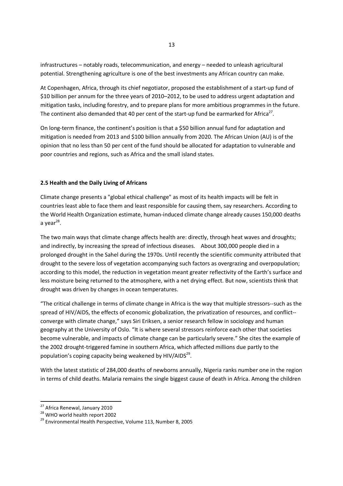infrastructures – notably roads, telecommunication, and energy – needed to unleash agricultural potential. Strengthening agriculture is one of the best investments any African country can make.

At Copenhagen, Africa, through its chief negotiator, proposed the establishment of a start-up fund of \$10 billion per annum for the three years of 2010–2012, to be used to address urgent adaptation and mitigation tasks, including forestry, and to prepare plans for more ambitious programmes in the future. The continent also demanded that 40 per cent of the start-up fund be earmarked for Africa<sup>27</sup>.

On long-term finance, the continent's position is that a \$50 billion annual fund for adaptation and mitigation is needed from 2013 and \$100 billion annually from 2020. The African Union (AU) is of the opinion that no less than 50 per cent of the fund should be allocated for adaptation to vulnerable and poor countries and regions, such as Africa and the small island states.

#### 2.5 Health and the Daily Living of Africans

Climate change presents a "global ethical challenge" as most of its health impacts will be felt in countries least able to face them and least responsible for causing them, say researchers. According to the World Health Organization estimate, human-induced climate change already causes 150,000 deaths a year<sup>28</sup>.

The two main ways that climate change affects health are: directly, through heat waves and droughts; and indirectly, by increasing the spread of infectious diseases. About 300,000 people died in a prolonged drought in the Sahel during the 1970s. Until recently the scientific community attributed that drought to the severe loss of vegetation accompanying such factors as overgrazing and overpopulation; according to this model, the reduction in vegetation meant greater reflectivity of the Earth's surface and less moisture being returned to the atmosphere, with a net drying effect. But now, scientists think that drought was driven by changes in ocean temperatures.

"The critical challenge in terms of climate change in Africa is the way that multiple stressors--such as the spread of HIV/AIDS, the effects of economic globalization, the privatization of resources, and conflict- converge with climate change," says Siri Eriksen, a senior research fellow in sociology and human geography at the University of Oslo. "It is where several stressors reinforce each other that societies become vulnerable, and impacts of climate change can be particularly severe." She cites the example of the 2002 drought-triggered famine in southern Africa, which affected millions due partly to the population's coping capacity being weakened by  $HIV/AIDS^{29}$ .

With the latest statistic of 284,000 deaths of newborns annually, Nigeria ranks number one in the region in terms of child deaths. Malaria remains the single biggest cause of death in Africa. Among the children

<sup>&</sup>lt;sup>27</sup> Africa Renewal, January 2010

 $28$  WHO world health report 2002

<sup>&</sup>lt;sup>29</sup> Environmental Health Perspective, Volume 113, Number 8, 2005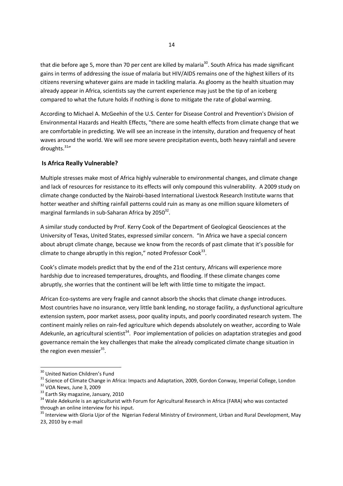that die before age 5, more than 70 per cent are killed by malaria<sup>30</sup>. South Africa has made significant gains in terms of addressing the issue of malaria but HIV/AIDS remains one of the highest killers of its citizens reversing whatever gains are made in tackling malaria. As gloomy as the health situation may already appear in Africa, scientists say the current experience may just be the tip of an iceberg compared to what the future holds if nothing is done to mitigate the rate of global warming.

According to Michael A. McGeehin of the U.S. Center for Disease Control and Prevention's Division of Environmental Hazards and Health Effects, "there are some health effects from climate change that we are comfortable in predicting. We will see an increase in the intensity, duration and frequency of heat waves around the world. We will see more severe precipitation events, both heavy rainfall and severe droughts. $31''$ 

## Is Africa Really Vulnerable?

Multiple stresses make most of Africa highly vulnerable to environmental changes, and climate change and lack of resources for resistance to its effects will only compound this vulnerability. A 2009 study on climate change conducted by the Nairobi-based International Livestock Research Institute warns that hotter weather and shifting rainfall patterns could ruin as many as one million square kilometers of marginal farmlands in sub-Saharan Africa by 2050 $32$ .

A similar study conducted by Prof. Kerry Cook of the Department of Geological Geosciences at the University of Texas, United States, expressed similar concern. "In Africa we have a special concern about abrupt climate change, because we know from the records of past climate that it's possible for climate to change abruptly in this region," noted Professor Cook $^{33}$ .

Cook's climate models predict that by the end of the 21st century, Africans will experience more hardship due to increased temperatures, droughts, and flooding. If these climate changes come abruptly, she worries that the continent will be left with little time to mitigate the impact.

African Eco-systems are very fragile and cannot absorb the shocks that climate change introduces. Most countries have no insurance, very little bank lending, no storage facility, a dysfunctional agriculture extension system, poor market assess, poor quality inputs, and poorly coordinated research system. The continent mainly relies on rain-fed agriculture which depends absolutely on weather, according to Wale Adekunle, an agricultural scientist<sup>34</sup>. Poor implementation of policies on adaptation strategies and good governance remain the key challenges that make the already complicated climate change situation in the region even messier $^{35}$ .

<sup>&</sup>lt;sup>30</sup> United Nation Children's Fund

<sup>&</sup>lt;sup>31</sup> Science of Climate Change in Africa: Impacts and Adaptation, 2009, Gordon Conway, Imperial College, London <sup>32</sup> VOA News, June 3, 2009

<sup>&</sup>lt;sup>33</sup> Earth Sky magazine, January, 2010

<sup>&</sup>lt;sup>34</sup> Wale Adekunle is an agriculturist with Forum for Agricultural Research in Africa (FARA) who was contacted through an online interview for his input.

<sup>&</sup>lt;sup>35</sup> Interview with Gloria Ujor of the Nigerian Federal Ministry of Environment, Urban and Rural Development, May 23, 2010 by e-mail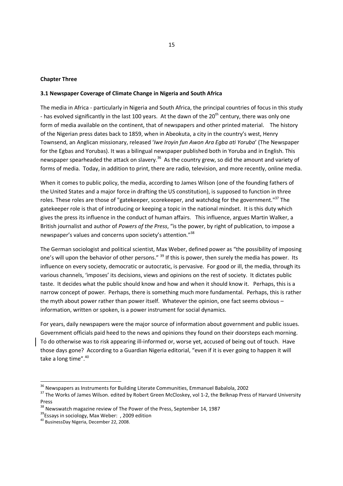#### Chapter Three

#### 3.1 Newspaper Coverage of Climate Change in Nigeria and South Africa

The media in Africa - particularly in Nigeria and South Africa, the principal countries of focus in this study - has evolved significantly in the last 100 years. At the dawn of the  $20<sup>th</sup>$  century, there was only one form of media available on the continent, that of newspapers and other printed material. The history of the Nigerian press dates back to 1859, when in Abeokuta, a city in the country's west, Henry Townsend, an Anglican missionary, released 'Iwe Iroyin fun Awon Ara Egba ati Yoruba' (The Newspaper for the Egbas and Yorubas). It was a bilingual newspaper published both in Yoruba and in English. This newspaper spearheaded the attack on slavery.<sup>36</sup> As the country grew, so did the amount and variety of forms of media. Today, in addition to print, there are radio, television, and more recently, online media.

When it comes to public policy, the media, according to James Wilson (one of the founding fathers of the United States and a major force in drafting the US constitution), is supposed to function in three roles. These roles are those of "gatekeeper, scorekeeper, and watchdog for the government."<sup>37</sup> The gatekeeper role is that of introducing or keeping a topic in the national mindset. It is this duty which gives the press its influence in the conduct of human affairs. This influence, argues Martin Walker, a British journalist and author of Powers of the Press, "is the power, by right of publication, to impose a newspaper's values and concerns upon society's attention."<sup>38</sup>

The German sociologist and political scientist, Max Weber, defined power as "the possibility of imposing one's will upon the behavior of other persons." <sup>39</sup> If this is power, then surely the media has power. Its influence on every society, democratic or autocratic, is pervasive. For good or ill, the media, through its various channels, 'imposes' its decisions, views and opinions on the rest of society. It dictates public taste. It decides what the public should know and how and when it should know it. Perhaps, this is a narrow concept of power. Perhaps, there is something much more fundamental. Perhaps, this is rather the myth about power rather than power itself. Whatever the opinion, one fact seems obvious – information, written or spoken, is a power instrument for social dynamics.

For years, daily newspapers were the major source of information about government and public issues. Government officials paid heed to the news and opinions they found on their doorsteps each morning. To do otherwise was to risk appearing ill-informed or, worse yet, accused of being out of touch. Have those days gone? According to a Guardian Nigeria editorial, "even if it is ever going to happen it will take a long time".<sup>40</sup>

<sup>&</sup>lt;sup>36</sup> Newspapers as Instruments for Building Literate Communities, Emmanuel Babalola, 2002

<sup>&</sup>lt;sup>37</sup> The Works of James Wilson. edited by Robert Green McCloskey, vol 1-2, the Belknap Press of Harvard University Press

 $38$  Newswatch magazine review of The Power of the Press, September 14, 1987

<sup>&</sup>lt;sup>39</sup>Essays in sociology, Max Weber: , 2009 edition

<sup>40</sup> BusinessDay Nigeria, December 22, 2008.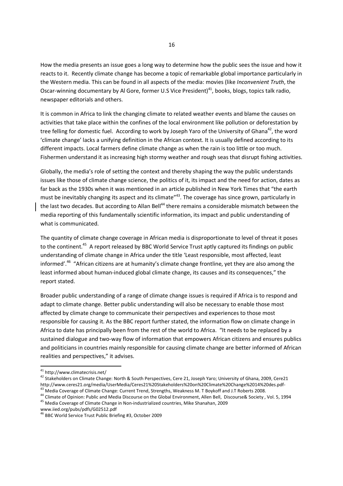How the media presents an issue goes a long way to determine how the public sees the issue and how it reacts to it. Recently climate change has become a topic of remarkable global importance particularly in the Western media. This can be found in all aspects of the media: movies (like *Inconvenient Truth*, the Oscar-winning documentary by Al Gore, former U.S Vice President)<sup>41</sup>, books, blogs, topics talk radio. newspaper editorials and others.

It is common in Africa to link the changing climate to related weather events and blame the causes on activities that take place within the confines of the local environment like pollution or deforestation by tree felling for domestic fuel. According to work by Joseph Yaro of the University of Ghana<sup>42</sup>, the word 'climate change' lacks a unifying definition in the African context. It is usually defined according to its different impacts. Local farmers define climate change as when the rain is too little or too much. Fishermen understand it as increasing high stormy weather and rough seas that disrupt fishing activities.

Globally, the media's role of setting the context and thereby shaping the way the public understands issues like those of climate change science, the politics of it, its impact and the need for action, dates as far back as the 1930s when it was mentioned in an article published in New York Times that "the earth must be inevitably changing its aspect and its climate"<sup>43</sup>. The coverage has since grown, particularly in the last two decades. But according to Allan Bell<sup>44</sup> there remains a considerable mismatch between the media reporting of this fundamentally scientific information, its impact and public understanding of what is communicated.

The quantity of climate change coverage in African media is disproportionate to level of threat it poses to the continent.<sup>45</sup> A report released by BBC World Service Trust aptly captured its findings on public understanding of climate change in Africa under the title 'Least responsible, most affected, least informed'.<sup>46</sup> "African citizens are at humanity's climate change frontline, yet they are also among the least informed about human-induced global climate change, its causes and its consequences," the report stated.

Broader public understanding of a range of climate change issues is required if Africa is to respond and adapt to climate change. Better public understanding will also be necessary to enable those most affected by climate change to communicate their perspectives and experiences to those most responsible for causing it. As the BBC report further stated, the information flow on climate change in Africa to date has principally been from the rest of the world to Africa. "It needs to be replaced by a sustained dialogue and two-way flow of information that empowers African citizens and ensures publics and politicians in countries mainly responsible for causing climate change are better informed of African realities and perspectives," it advises.

<sup>&</sup>lt;sup>41</sup> http://www.climatecrisis.net/

<sup>&</sup>lt;sup>42</sup> Stakeholders on Climate Change: North & South Perspectives, Cere 21, Joseph Yaro; University of Ghana, 2009, Cere21 http://www.ceres21.org/media/UserMedia/Ceres21%20Stakeholders%20on%20Climate%20Change%2014%20des.pdf-<sup>43</sup> Media Coverage of Climate Change: Current Trend, Strengths, Weakness M. T Boykoff and J.T Roberts 2008.

<sup>44</sup> Climate of Opinion: Public and Media Discourse on the Global Environment, Allen Bell, Discourse& Society , Vol. 5, 1994 <sup>45</sup> Media Coverage of Climate Change in Non-industrialized countries, Mike Shanahan, 2009

www.iied.org/pubs/pdfs/G02512.pdf

<sup>46</sup> BBC World Service Trust Public Briefing #3, October 2009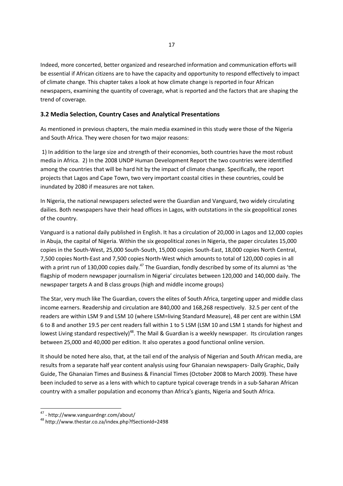Indeed, more concerted, better organized and researched information and communication efforts will be essential if African citizens are to have the capacity and opportunity to respond effectively to impact of climate change. This chapter takes a look at how climate change is reported in four African newspapers, examining the quantity of coverage, what is reported and the factors that are shaping the trend of coverage.

## 3.2 Media Selection, Country Cases and Analytical Presentations

As mentioned in previous chapters, the main media examined in this study were those of the Nigeria and South Africa. They were chosen for two major reasons:

 1) In addition to the large size and strength of their economies, both countries have the most robust media in Africa. 2) In the 2008 UNDP Human Development Report the two countries were identified among the countries that will be hard hit by the impact of climate change. Specifically, the report projects that Lagos and Cape Town, two very important coastal cities in these countries, could be inundated by 2080 if measures are not taken.

In Nigeria, the national newspapers selected were the Guardian and Vanguard, two widely circulating dailies. Both newspapers have their head offices in Lagos, with outstations in the six geopolitical zones of the country.

Vanguard is a national daily published in English. It has a circulation of 20,000 in Lagos and 12,000 copies in Abuja, the capital of Nigeria. Within the six geopolitical zones in Nigeria, the paper circulates 15,000 copies in the South-West, 25,000 South-South, 15,000 copies South-East, 18,000 copies North Central, 7,500 copies North-East and 7,500 copies North-West which amounts to total of 120,000 copies in all with a print run of 130,000 copies daily.<sup>47</sup> The Guardian, fondly described by some of its alumni as 'the flagship of modern newspaper journalism in Nigeria' circulates between 120,000 and 140,000 daily. The newspaper targets A and B class groups (high and middle income groups)

The Star, very much like The Guardian, covers the elites of South Africa, targeting upper and middle class income earners. Readership and circulation are 840,000 and 168,268 respectively. 32.5 per cent of the readers are within LSM 9 and LSM 10 (where LSM=living Standard Measure), 48 per cent are within LSM 6 to 8 and another 19.5 per cent readers fall within 1 to 5 LSM (LSM 10 and LSM 1 stands for highest and lowest Living standard respectively)<sup>48</sup>. The Mail & Guardian is a weekly newspaper. Its circulation ranges between 25,000 and 40,000 per edition. It also operates a good functional online version.

It should be noted here also, that, at the tail end of the analysis of Nigerian and South African media, are results from a separate half year content analysis using four Ghanaian newspapers- Daily Graphic, Daily Guide, The Ghanaian Times and Business & Financial Times (October 2008 to March 2009). These have been included to serve as a lens with which to capture typical coverage trends in a sub-Saharan African country with a smaller population and economy than Africa's giants, Nigeria and South Africa.

<sup>47</sup> - http://www.vanguardngr.com/about/

<sup>48</sup> http://www.thestar.co.za/index.php?fSectionId=2498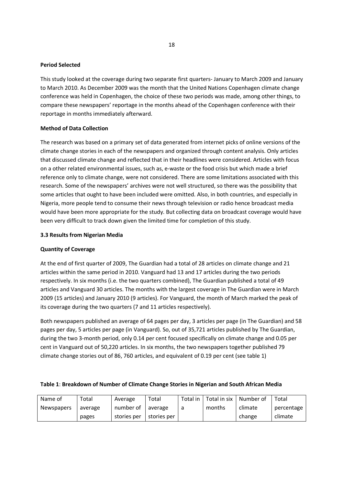#### Period Selected

This study looked at the coverage during two separate first quarters- January to March 2009 and January to March 2010. As December 2009 was the month that the United Nations Copenhagen climate change conference was held in Copenhagen, the choice of these two periods was made, among other things, to compare these newspapers' reportage in the months ahead of the Copenhagen conference with their reportage in months immediately afterward.

#### Method of Data Collection

The research was based on a primary set of data generated from internet picks of online versions of the climate change stories in each of the newspapers and organized through content analysis. Only articles that discussed climate change and reflected that in their headlines were considered. Articles with focus on a other related environmental issues, such as, e-waste or the food crisis but which made a brief reference only to climate change, were not considered. There are some limitations associated with this research. Some of the newspapers' archives were not well structured, so there was the possibility that some articles that ought to have been included were omitted. Also, in both countries, and especially in Nigeria, more people tend to consume their news through television or radio hence broadcast media would have been more appropriate for the study. But collecting data on broadcast coverage would have been very difficult to track down given the limited time for completion of this study.

#### 3.3 Results from Nigerian Media

#### Quantity of Coverage

At the end of first quarter of 2009, The Guardian had a total of 28 articles on climate change and 21 articles within the same period in 2010. Vanguard had 13 and 17 articles during the two periods respectively. In six months (i.e. the two quarters combined), The Guardian published a total of 49 articles and Vanguard 30 articles. The months with the largest coverage in The Guardian were in March 2009 (15 articles) and January 2010 (9 articles). For Vanguard, the month of March marked the peak of its coverage during the two quarters (7 and 11 articles respectively).

Both newspapers published an average of 64 pages per day, 3 articles per page (in The Guardian) and 58 pages per day, 5 articles per page (in Vanguard). So, out of 35,721 articles published by The Guardian, during the two 3-month period, only 0.14 per cent focused specifically on climate change and 0.05 per cent in Vanguard out of 50,220 articles. In six months, the two newspapers together published 79 climate change stories out of 86, 760 articles, and equivalent of 0.19 per cent (see table 1)

| Name of           | Total   | Average     | Total       | Total in | Total in six | Number of | Total      |
|-------------------|---------|-------------|-------------|----------|--------------|-----------|------------|
| <b>Newspapers</b> | average | number of   | average     | a        | months       | climate   | percentage |
|                   | pages   | stories per | stories per |          |              | change    | climate    |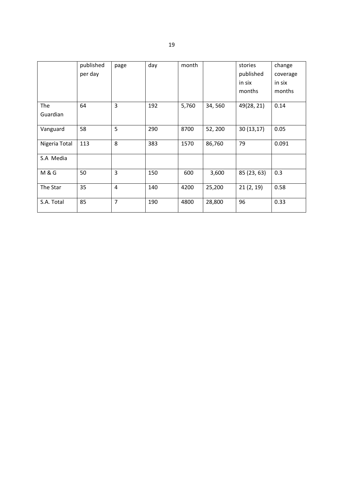|                  | published | page           | day | month |         | stories     | change   |
|------------------|-----------|----------------|-----|-------|---------|-------------|----------|
|                  | per day   |                |     |       |         | published   | coverage |
|                  |           |                |     |       |         | in six      | in six   |
|                  |           |                |     |       |         | months      | months   |
| The              | 64        | 3              | 192 | 5,760 | 34,560  | 49(28, 21)  | 0.14     |
| Guardian         |           |                |     |       |         |             |          |
| Vanguard         | 58        | 5              | 290 | 8700  | 52, 200 | 30(13,17)   | 0.05     |
| Nigeria Total    | 113       | 8              | 383 | 1570  | 86,760  | 79          | 0.091    |
| S.A Media        |           |                |     |       |         |             |          |
| <b>M &amp; G</b> | 50        | 3              | 150 | 600   | 3,600   | 85 (23, 63) | 0.3      |
| The Star         | 35        | $\overline{4}$ | 140 | 4200  | 25,200  | 21(2, 19)   | 0.58     |
| S.A. Total       | 85        | $\overline{7}$ | 190 | 4800  | 28,800  | 96          | 0.33     |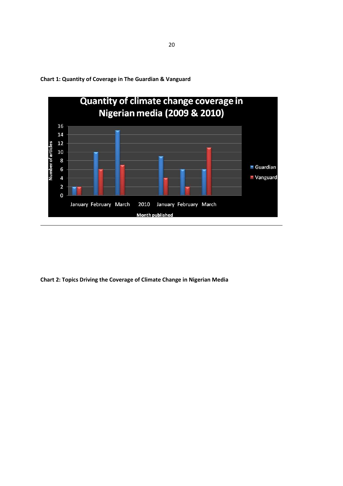

Chart 1: Quantity of Coverage in The Guardian & Vanguard

Chart 2: Topics Driving the Coverage of Climate Change in Nigerian Media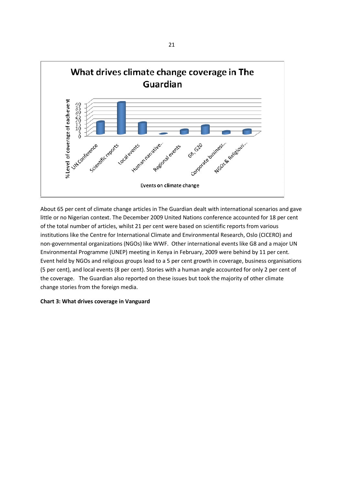

About 65 per cent of climate change articles in The Guardian dealt with international scenarios and gave little or no Nigerian context. The December 2009 United Nations conference accounted for 18 per cent of the total number of articles, whilst 21 per cent were based on scientific reports from various institutions like the Centre for International Climate and Environmental Research, Oslo (CICERO) and non-governmental organizations (NGOs) like WWF. Other international events like G8 and a major UN Environmental Programme (UNEP) meeting in Kenya in February, 2009 were behind by 11 per cent. Event held by NGOs and religious groups lead to a 5 per cent growth in coverage, business organisations (5 per cent), and local events (8 per cent). Stories with a human angle accounted for only 2 per cent of the coverage. The Guardian also reported on these issues but took the majority of other climate change stories from the foreign media.

#### Chart 3: What drives coverage in Vanguard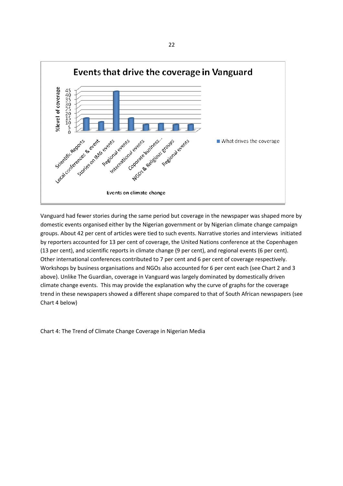

Vanguard had fewer stories during the same period but coverage in the newspaper was shaped more by domestic events organised either by the Nigerian government or by Nigerian climate change campaign groups. About 42 per cent of articles were tied to such events. Narrative stories and interviews initiated by reporters accounted for 13 per cent of coverage, the United Nations conference at the Copenhagen (13 per cent), and scientific reports in climate change (9 per cent), and regional events (6 per cent). Other international conferences contributed to 7 per cent and 6 per cent of coverage respectively. Workshops by business organisations and NGOs also accounted for 6 per cent each (see Chart 2 and 3 above). Unlike The Guardian, coverage in Vanguard was largely dominated by domestically driven climate change events. This may provide the explanation why the curve of graphs for the coverage trend in these newspapers showed a different shape compared to that of South African newspapers (see Chart 4 below)

Chart 4: The Trend of Climate Change Coverage in Nigerian Media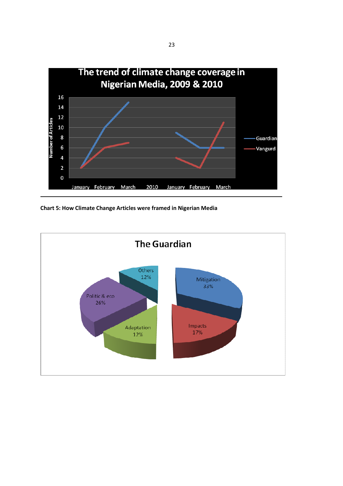

Chart 5: How Climate Change Articles were framed in Nigerian Media

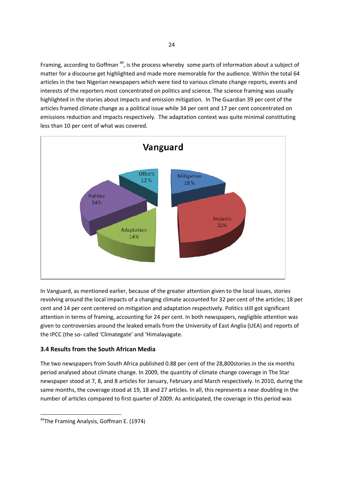Framing, according to Goffman<sup>49</sup>, is the process whereby some parts of information about a subject of matter for a discourse get highlighted and made more memorable for the audience. Within the total 64 articles in the two Nigerian newspapers which were tied to various climate change reports, events and interests of the reporters most concentrated on politics and science. The science framing was usually highlighted in the stories about impacts and emission mitigation. In The Guardian 39 per cent of the articles framed climate change as a political issue while 34 per cent and 17 per cent concentrated on emissions reduction and impacts respectively. The adaptation context was quite minimal constituting less than 10 per cent of what was covered.



In Vanguard, as mentioned earlier, because of the greater attention given to the local issues, stories revolving around the local impacts of a changing climate accounted for 32 per cent of the articles; 18 per cent and 14 per cent centered on mitigation and adaptation respectively. Politics still got significant attention in terms of framing, accounting for 24 per cent. In both newspapers, negligible attention was given to controversies around the leaked emails from the University of East Anglia (UEA) and reports of the IPCC (the so- called 'Climategate' and 'Himalayagate.

## 3.4 Results from the South African Media

The two newspapers from South Africa published 0.88 per cent of the 28,800stories in the six months period analysed about climate change. In 2009, the quantity of climate change coverage in The Star newspaper stood at 7, 8, and 8 articles for January, February and March respectively. In 2010, during the same months, the coverage stood at 19, 18 and 27 articles. In all, this represents a near doubling in the number of articles compared to first quarter of 2009. As anticipated, the coverage in this period was

<sup>&</sup>lt;sup>49</sup>The Framing Analysis, Goffman E. (1974)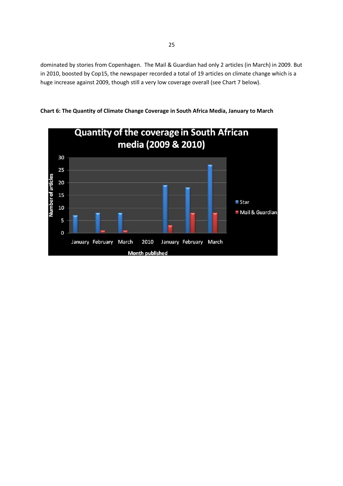dominated by stories from Copenhagen. The Mail & Guardian had only 2 articles (in March) in 2009. But in 2010, boosted by Cop15, the newspaper recorded a total of 19 articles on climate change which is a huge increase against 2009, though still a very low coverage overall (see Chart 7 below).



Chart 6: The Quantity of Climate Change Coverage in South Africa Media, January to March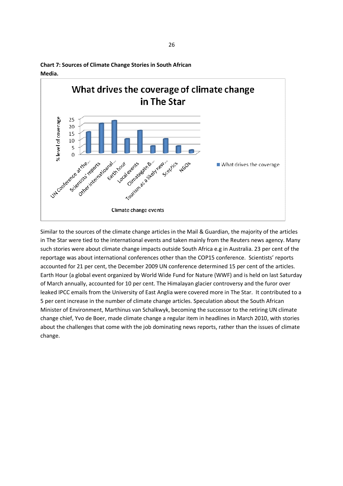

Chart 7: Sources of Climate Change Stories in South African Media.

Similar to the sources of the climate change articles in the Mail & Guardian, the majority of the articles in The Star were tied to the international events and taken mainly from the Reuters news agency. Many such stories were about climate change impacts outside South Africa e.g in Australia. 23 per cent of the reportage was about international conferences other than the COP15 conference. Scientists' reports accounted for 21 per cent, the December 2009 UN conference determined 15 per cent of the articles. Earth Hour (a global event organized by World Wide Fund for Nature (WWF) and is held on last Saturday of March annually, accounted for 10 per cent. The Himalayan glacier controversy and the furor over leaked IPCC emails from the University of East Anglia were covered more in The Star. It contributed to a 5 per cent increase in the number of climate change articles. Speculation about the South African Minister of Environment, Marthinus van Schalkwyk, becoming the successor to the retiring UN climate change chief, Yvo de Boer, made climate change a regular item in headlines in March 2010, with stories about the challenges that come with the job dominating news reports, rather than the issues of climate change.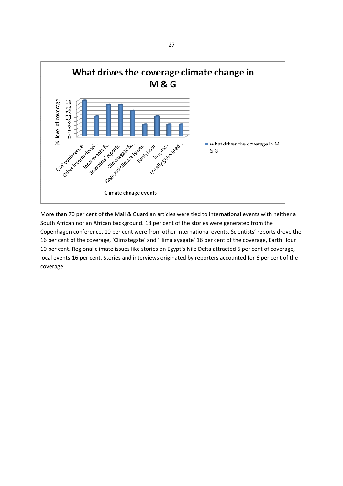

More than 70 per cent of the Mail & Guardian articles were tied to international events with neither a South African nor an African background. 18 per cent of the stories were generated from the Copenhagen conference, 10 per cent were from other international events. Scientists' reports drove the 16 per cent of the coverage, 'Climategate' and 'Himalayagate' 16 per cent of the coverage, Earth Hour 10 per cent. Regional climate issues like stories on Egypt's Nile Delta attracted 6 per cent of coverage, local events-16 per cent. Stories and interviews originated by reporters accounted for 6 per cent of the coverage.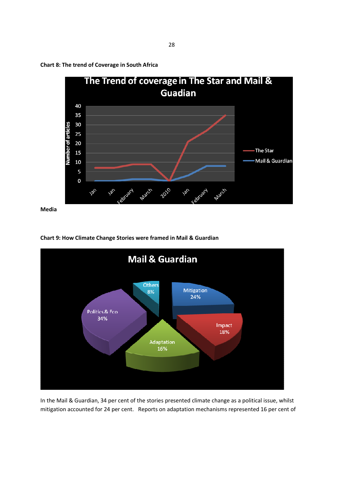

Chart 8: The trend of Coverage in South Africa

Media





In the Mail & Guardian, 34 per cent of the stories presented climate change as a political issue, whilst mitigation accounted for 24 per cent. Reports on adaptation mechanisms represented 16 per cent of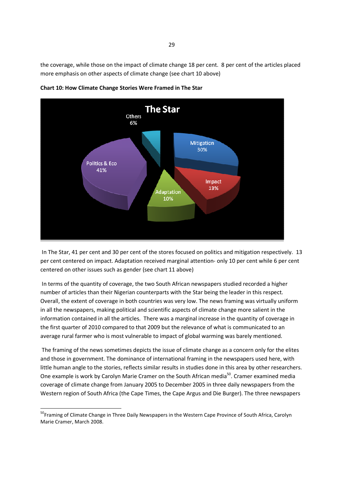the coverage, while those on the impact of climate change 18 per cent. 8 per cent of the articles placed more emphasis on other aspects of climate change (see chart 10 above)



Chart 10: How Climate Change Stories Were Framed in The Star

 In The Star, 41 per cent and 30 per cent of the stores focused on politics and mitigation respectively. 13 per cent centered on impact. Adaptation received marginal attention- only 10 per cent while 6 per cent centered on other issues such as gender (see chart 11 above)

 In terms of the quantity of coverage, the two South African newspapers studied recorded a higher number of articles than their Nigerian counterparts with the Star being the leader in this respect. Overall, the extent of coverage in both countries was very low. The news framing was virtually uniform in all the newspapers, making political and scientific aspects of climate change more salient in the information contained in all the articles. There was a marginal increase in the quantity of coverage in the first quarter of 2010 compared to that 2009 but the relevance of what is communicated to an average rural farmer who is most vulnerable to impact of global warming was barely mentioned.

 The framing of the news sometimes depicts the issue of climate change as a concern only for the elites and those in government. The dominance of international framing in the newspapers used here, with little human angle to the stories, reflects similar results in studies done in this area by other researchers. One example is work by Carolyn Marie Cramer on the South African media<sup>50</sup>. Cramer examined media coverage of climate change from January 2005 to December 2005 in three daily newspapers from the Western region of South Africa (the Cape Times, the Cape Argus and Die Burger). The three newspapers

<sup>&</sup>lt;sup>50</sup>Framing of Climate Change in Three Daily Newspapers in the Western Cape Province of South Africa, Carolyn Marie Cramer, March 2008.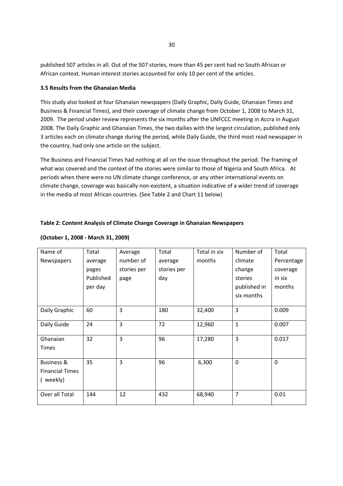published 507 articles in all. Out of the 507 stories, more than 45 per cent had no South African or African context. Human interest stories accounted for only 10 per cent of the articles.

#### 3.5 Results from the Ghanaian Media

This study also looked at four Ghanaian newspapers (Daily Graphic, Daily Guide, Ghanaian Times and Business & Financial Times), and their coverage of climate change from October 1, 2008 to March 31, 2009. The period under review represents the six months after the UNFCCC meeting in Accra in August 2008. The Daily Graphic and Ghanaian Times, the two dailies with the largest circulation, published only 3 articles each on climate change during the period, while Daily Guide, the third most read newspaper in the country, had only one article on the subject.

The Business and Financial Times had nothing at all on the issue throughout the period. The framing of what was covered and the context of the stories were similar to those of Nigeria and South Africa. At periods when there were no UN climate change conference, or any other international events on climate change, coverage was basically non-existent, a situation indicative of a wider trend of coverage in the media of most African countries. (See Table 2 and Chart 11 below)

## Table 2: Content Analysis of Climate Change Coverage in Ghanaian Newspapers

| Name of                | Total     | Average     | Total       | Total in six | Number of    | Total       |
|------------------------|-----------|-------------|-------------|--------------|--------------|-------------|
| Newspapers             | average   | number of   | average     | months       | climate      | Percentage  |
|                        | pages     | stories per | stories per |              | change       | coverage    |
|                        | Published | page        | day         |              | stories      | in six      |
|                        | per day   |             |             |              | published in | months      |
|                        |           |             |             |              | six months   |             |
|                        |           |             |             |              |              |             |
| Daily Graphic          | 60        | 3           | 180         | 32,400       | 3            | 0.009       |
| Daily Guide            | 24        | 3           | 72          | 12,960       | $\mathbf{1}$ | 0.007       |
|                        |           |             |             |              |              |             |
| Ghanaian               | 32        | 3           | 96          | 17,280       | 3            | 0.017       |
| <b>Times</b>           |           |             |             |              |              |             |
| Business &             | 35        | 3           | 96          | 6,300        | $\mathbf 0$  | $\mathbf 0$ |
| <b>Financial Times</b> |           |             |             |              |              |             |
|                        |           |             |             |              |              |             |
| ( weekly)              |           |             |             |              |              |             |
| Over all Total         | 144       | 12          | 432         | 68,940       | 7            | 0.01        |

## (October 1, 2008 - March 31, 2009)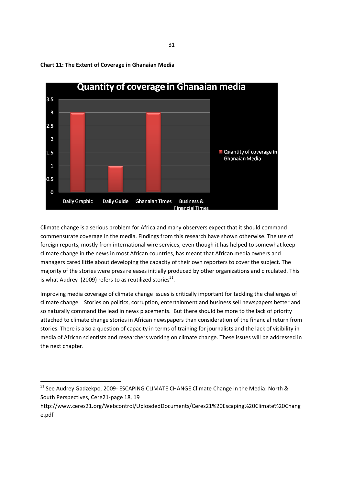

## Chart 11: The Extent of Coverage in Ghanaian Media

Climate change is a serious problem for Africa and many observers expect that it should command commensurate coverage in the media. Findings from this research have shown otherwise. The use of foreign reports, mostly from international wire services, even though it has helped to somewhat keep climate change in the news in most African countries, has meant that African media owners and managers cared little about developing the capacity of their own reporters to cover the subject. The majority of the stories were press releases initially produced by other organizations and circulated. This is what Audrey (2009) refers to as reutilized stories $^{51}$ .

Improving media coverage of climate change issues is critically important for tackling the challenges of climate change. Stories on politics, corruption, entertainment and business sell newspapers better and so naturally command the lead in news placements. But there should be more to the lack of priority attached to climate change stories in African newspapers than consideration of the financial return from stories. There is also a question of capacity in terms of training for journalists and the lack of visibility in media of African scientists and researchers working on climate change. These issues will be addressed in the next chapter.

<sup>51</sup> See Audrey Gadzekpo, 2009- ESCAPING CLIMATE CHANGE Climate Change in the Media: North & South Perspectives, Cere21-page 18, 19

http://www.ceres21.org/Webcontrol/UploadedDocuments/Ceres21%20Escaping%20Climate%20Chang e.pdf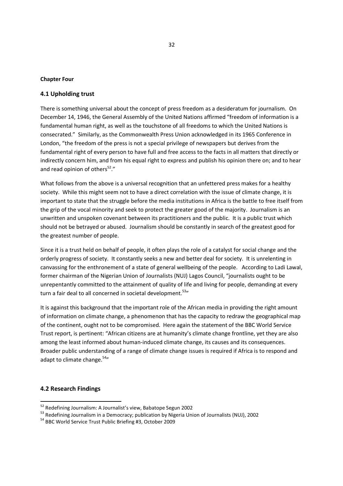#### Chapter Four

#### 4.1 Upholding trust

There is something universal about the concept of press freedom as a desideratum for journalism. On December 14, 1946, the General Assembly of the United Nations affirmed "freedom of information is a fundamental human right, as well as the touchstone of all freedoms to which the United Nations is consecrated." Similarly, as the Commonwealth Press Union acknowledged in its 1965 Conference in London, "the freedom of the press is not a special privilege of newspapers but derives from the fundamental right of every person to have full and free access to the facts in all matters that directly or indirectly concern him, and from his equal right to express and publish his opinion there on; and to hear and read opinion of others $52.$ "

What follows from the above is a universal recognition that an unfettered press makes for a healthy society. While this might seem not to have a direct correlation with the issue of climate change, it is important to state that the struggle before the media institutions in Africa is the battle to free itself from the grip of the vocal minority and seek to protect the greater good of the majority. Journalism is an unwritten and unspoken covenant between its practitioners and the public. It is a public trust which should not be betrayed or abused. Journalism should be constantly in search of the greatest good for the greatest number of people.

Since it is a trust held on behalf of people, it often plays the role of a catalyst for social change and the orderly progress of society. It constantly seeks a new and better deal for society. It is unrelenting in canvassing for the enthronement of a state of general wellbeing of the people. According to Ladi Lawal, former chairman of the Nigerian Union of Journalists (NUJ) Lagos Council, "journalists ought to be unrepentantly committed to the attainment of quality of life and living for people, demanding at every turn a fair deal to all concerned in societal development.<sup>53</sup>"

It is against this background that the important role of the African media in providing the right amount of information on climate change, a phenomenon that has the capacity to redraw the geographical map of the continent, ought not to be compromised. Here again the statement of the BBC World Service Trust report, is pertinent: "African citizens are at humanity's climate change frontline, yet they are also among the least informed about human-induced climate change, its causes and its consequences. Broader public understanding of a range of climate change issues is required if Africa is to respond and adapt to climate change.<sup>54</sup>"

#### 4.2 Research Findings

<sup>&</sup>lt;sup>52</sup> Redefining Journalism: A Journalist's view, Babatope Segun 2002

<sup>&</sup>lt;sup>53</sup> Redefining Journalism in a Democracy; publication by Nigeria Union of Journalists (NUJ), 2002

<sup>54</sup> BBC World Service Trust Public Briefing #3, October 2009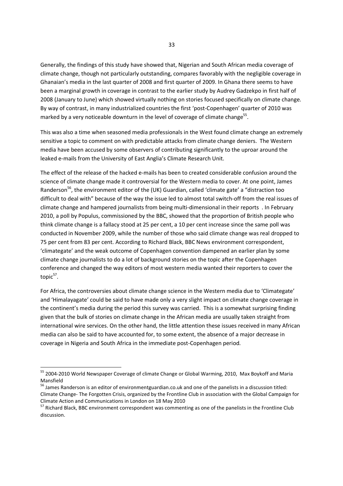Generally, the findings of this study have showed that, Nigerian and South African media coverage of climate change, though not particularly outstanding, compares favorably with the negligible coverage in Ghanaian's media in the last quarter of 2008 and first quarter of 2009. In Ghana there seems to have been a marginal growth in coverage in contrast to the earlier study by Audrey Gadzekpo in first half of 2008 (January to June) which showed virtually nothing on stories focused specifically on climate change. By way of contrast, in many industrialized countries the first 'post-Copenhagen' quarter of 2010 was marked by a very noticeable downturn in the level of coverage of climate change<sup>55</sup>.

This was also a time when seasoned media professionals in the West found climate change an extremely sensitive a topic to comment on with predictable attacks from climate change deniers. The Western media have been accused by some observers of contributing significantly to the uproar around the leaked e-mails from the University of East Anglia's Climate Research Unit.

The effect of the release of the hacked e-mails has been to created considerable confusion around the science of climate change made it controversial for the Western media to cover. At one point, James Randerson<sup>56</sup>, the environment editor of the (UK) Guardian, called 'climate gate' a "distraction too difficult to deal with" because of the way the issue led to almost total switch-off from the real issues of climate change and hampered journalists from being multi-dimensional in their reports . In February 2010, a poll by Populus, commissioned by the BBC, showed that the proportion of British people who think climate change is a fallacy stood at 25 per cent, a 10 per cent increase since the same poll was conducted in November 2009, while the number of those who said climate change was real dropped to 75 per cent from 83 per cent. According to Richard Black, BBC News environment correspondent, 'climategate' and the weak outcome of Copenhagen convention dampened an earlier plan by some climate change journalists to do a lot of background stories on the topic after the Copenhagen conference and changed the way editors of most western media wanted their reporters to cover the topic<sup>57</sup>.

For Africa, the controversies about climate change science in the Western media due to 'Climategate' and 'Himalayagate' could be said to have made only a very slight impact on climate change coverage in the continent's media during the period this survey was carried. This is a somewhat surprising finding given that the bulk of stories on climate change in the African media are usually taken straight from international wire services. On the other hand, the little attention these issues received in many African media can also be said to have accounted for, to some extent, the absence of a major decrease in coverage in Nigeria and South Africa in the immediate post-Copenhagen period.

<sup>55</sup> 2004-2010 World Newspaper Coverage of climate Change or Global Warming, 2010, Max Boykoff and Maria Mansfield

<sup>56</sup> James Randerson is an editor of environmentguardian.co.uk and one of the panelists in a discussion titled: Climate Change- The Forgotten Crisis, organized by the Frontline Club in association with the Global Campaign for Climate Action and Communications in London on 18 May 2010

<sup>&</sup>lt;sup>57</sup> Richard Black, BBC environment correspondent was commenting as one of the panelists in the Frontline Club discussion.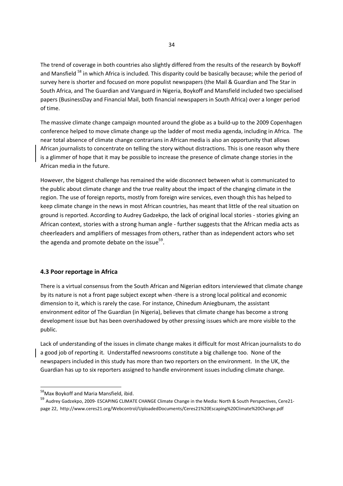The trend of coverage in both countries also slightly differed from the results of the research by Boykoff and Mansfield <sup>58</sup> in which Africa is included. This disparity could be basically because; while the period of survey here is shorter and focused on more populist newspapers (the Mail & Guardian and The Star in South Africa, and The Guardian and Vanguard in Nigeria, Boykoff and Mansfield included two specialised papers (BusinessDay and Financial Mail, both financial newspapers in South Africa) over a longer period of time.

The massive climate change campaign mounted around the globe as a build-up to the 2009 Copenhagen conference helped to move climate change up the ladder of most media agenda, including in Africa. The near total absence of climate change contrarians in African media is also an opportunity that allows African journalists to concentrate on telling the story without distractions. This is one reason why there is a glimmer of hope that it may be possible to increase the presence of climate change stories in the African media in the future.

However, the biggest challenge has remained the wide disconnect between what is communicated to the public about climate change and the true reality about the impact of the changing climate in the region. The use of foreign reports, mostly from foreign wire services, even though this has helped to keep climate change in the news in most African countries, has meant that little of the real situation on ground is reported. According to Audrey Gadzekpo, the lack of original local stories - stories giving an African context, stories with a strong human angle - further suggests that the African media acts as cheerleaders and amplifiers of messages from others, rather than as independent actors who set the agenda and promote debate on the issue<sup>59</sup>.

## 4.3 Poor reportage in Africa

There is a virtual consensus from the South African and Nigerian editors interviewed that climate change by its nature is not a front page subject except when -there is a strong local political and economic dimension to it, which is rarely the case. For instance, Chinedum Aniegbunam, the assistant environment editor of The Guardian (in Nigeria), believes that climate change has become a strong development issue but has been overshadowed by other pressing issues which are more visible to the public.

Lack of understanding of the issues in climate change makes it difficult for most African journalists to do a good job of reporting it. Understaffed newsrooms constitute a big challenge too. None of the newspapers included in this study has more than two reporters on the environment. In the UK, the Guardian has up to six reporters assigned to handle environment issues including climate change.

<sup>58</sup> Max Boykoff and Maria Mansfield, ibid.

<sup>59</sup> Audrey Gadzekpo, 2009- ESCAPING CLIMATE CHANGE Climate Change in the Media: North & South Perspectives, Cere21 page 22, http://www.ceres21.org/Webcontrol/UploadedDocuments/Ceres21%20Escaping%20Climate%20Change.pdf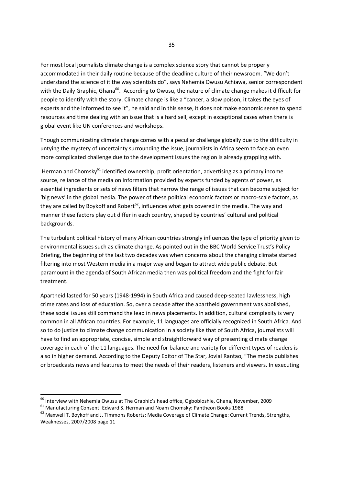For most local journalists climate change is a complex science story that cannot be properly accommodated in their daily routine because of the deadline culture of their newsroom. "We don't understand the science of it the way scientists do", says Nehemia Owusu Achiawa, senior correspondent with the Daily Graphic, Ghana<sup>60</sup>. According to Owusu, the nature of climate change makes it difficult for people to identify with the story. Climate change is like a "cancer, a slow poison, it takes the eyes of experts and the informed to see it", he said and in this sense, it does not make economic sense to spend resources and time dealing with an issue that is a hard sell, except in exceptional cases when there is global event like UN conferences and workshops.

Though communicating climate change comes with a peculiar challenge globally due to the difficulty in untying the mystery of uncertainty surrounding the issue, journalists in Africa seem to face an even more complicated challenge due to the development issues the region is already grappling with.

Herman and Chomsky<sup>61</sup> identified ownership, profit orientation, advertising as a primary income source, reliance of the media on information provided by experts funded by agents of power, as essential ingredients or sets of news filters that narrow the range of issues that can become subject for 'big news' in the global media. The power of these political economic factors or macro-scale factors, as they are called by Boykoff and Robert<sup>62</sup>, influences what gets covered in the media. The way and manner these factors play out differ in each country, shaped by countries' cultural and political backgrounds.

The turbulent political history of many African countries strongly influences the type of priority given to environmental issues such as climate change. As pointed out in the BBC World Service Trust's Policy Briefing, the beginning of the last two decades was when concerns about the changing climate started filtering into most Western media in a major way and began to attract wide public debate. But paramount in the agenda of South African media then was political freedom and the fight for fair treatment.

Apartheid lasted for 50 years (1948-1994) in South Africa and caused deep-seated lawlessness, high crime rates and loss of education. So, over a decade after the apartheid government was abolished, these social issues still command the lead in news placements. In addition, cultural complexity is very common in all African countries. For example, 11 languages are officially recognized in South Africa. And so to do justice to climate change communication in a society like that of South Africa, journalists will have to find an appropriate, concise, simple and straightforward way of presenting climate change coverage in each of the 11 languages. The need for balance and variety for different types of readers is also in higher demand. According to the Deputy Editor of The Star, Jovial Rantao, "The media publishes or broadcasts news and features to meet the needs of their readers, listeners and viewers. In executing

<sup>&</sup>lt;sup>60</sup> Interview with Nehemia Owusu at The Graphic's head office, Ogbobloshie, Ghana, November, 2009

 $61$  Manufacturing Consent: Edward S. Herman and Noam Chomsky: Pantheon Books 1988

<sup>&</sup>lt;sup>62</sup> Maxwell T. Bovkoff and J. Timmons Roberts: Media Coverage of Climate Change: Current Trends, Strengths, Weaknesses, 2007/2008 page 11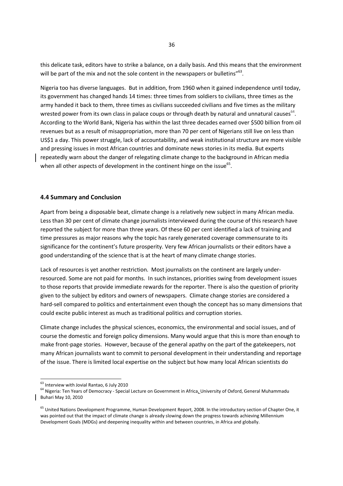this delicate task, editors have to strike a balance, on a daily basis. And this means that the environment will be part of the mix and not the sole content in the newspapers or bulletins" $^{63}$ .

Nigeria too has diverse languages. But in addition, from 1960 when it gained independence until today, its government has changed hands 14 times: three times from soldiers to civilians, three times as the army handed it back to them, three times as civilians succeeded civilians and five times as the military wrested power from its own class in palace coups or through death by natural and unnatural causes<sup>64</sup>. According to the World Bank, Nigeria has within the last three decades earned over \$500 billion from oil revenues but as a result of misappropriation, more than 70 per cent of Nigerians still live on less than US\$1 a day. This power struggle, lack of accountability, and weak institutional structure are more visible and pressing issues in most African countries and dominate news stories in its media. But experts repeatedly warn about the danger of relegating climate change to the background in African media when all other aspects of development in the continent hinge on the issue $^{65}$ .

#### 4.4 Summary and Conclusion

Apart from being a disposable beat, climate change is a relatively new subject in many African media. Less than 30 per cent of climate change journalists interviewed during the course of this research have reported the subject for more than three years. Of these 60 per cent identified a lack of training and time pressures as major reasons why the topic has rarely generated coverage commensurate to its significance for the continent's future prosperity. Very few African journalists or their editors have a good understanding of the science that is at the heart of many climate change stories.

Lack of resources is yet another restriction. Most journalists on the continent are largely underresourced. Some are not paid for months. In such instances, priorities swing from development issues to those reports that provide immediate rewards for the reporter. There is also the question of priority given to the subject by editors and owners of newspapers. Climate change stories are considered a hard-sell compared to politics and entertainment even though the concept has so many dimensions that could excite public interest as much as traditional politics and corruption stories.

Climate change includes the physical sciences, economics, the environmental and social issues, and of course the domestic and foreign policy dimensions. Many would argue that this is more than enough to make front-page stories. However, because of the general apathy on the part of the gatekeepers, not many African journalists want to commit to personal development in their understanding and reportage of the issue. There is limited local expertise on the subject but how many local African scientists do

<sup>&</sup>lt;sup>63</sup> Interview with Jovial Rantao, 6 July 2010

<sup>&</sup>lt;sup>64</sup> Nigeria: Ten Years of Democracy - Special Lecture on Government in Africa, University of Oxford, General Muhammadu Buhari May 10, 2010

<sup>&</sup>lt;sup>65</sup> United Nations Development Programme, Human Development Report, 2008. In the introductory section of Chapter One, it was pointed out that the impact of climate change is already slowing down the progress towards achieving Millennium Development Goals (MDGs) and deepening inequality within and between countries, in Africa and globally.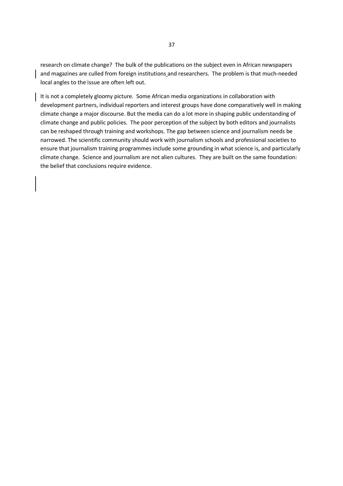research on climate change? The bulk of the publications on the subject even in African newspapers and magazines are culled from foreign institutions and researchers. The problem is that much-needed local angles to the issue are often left out.

It is not a completely gloomy picture. Some African media organizations in collaboration with development partners, individual reporters and interest groups have done comparatively well in making climate change a major discourse. But the media can do a lot more in shaping public understanding of climate change and public policies. The poor perception of the subject by both editors and journalists can be reshaped through training and workshops. The gap between science and journalism needs be narrowed. The scientific community should work with journalism schools and professional societies to ensure that journalism training programmes include some grounding in what science is, and particularly climate change. Science and journalism are not alien cultures. They are built on the same foundation: the belief that conclusions require evidence.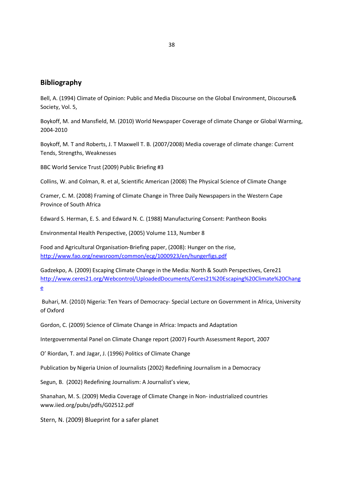## Bibliography

Bell, A. (1994) Climate of Opinion: Public and Media Discourse on the Global Environment, Discourse& Society, Vol. 5,

Boykoff, M. and Mansfield, M. (2010) World Newspaper Coverage of climate Change or Global Warming, 2004-2010

Boykoff, M. T and Roberts, J. T Maxwell T. B. (2007/2008) Media coverage of climate change: Current Tends, Strengths, Weaknesses

BBC World Service Trust (2009) Public Briefing #3

Collins, W. and Colman, R. et al, Scientific American (2008) The Physical Science of Climate Change

Cramer, C. M. (2008) Framing of Climate Change in Three Daily Newspapers in the Western Cape Province of South Africa

Edward S. Herman, E. S. and Edward N. C. (1988) Manufacturing Consent: Pantheon Books

Environmental Health Perspective, (2005) Volume 113, Number 8

Food and Agricultural Organisation-Briefing paper, (2008): Hunger on the rise, http://www.fao.org/newsroom/common/ecg/1000923/en/hungerfigs.pdf

Gadzekpo, A. (2009) Escaping Climate Change in the Media: North & South Perspectives, Cere21 http://www.ceres21.org/Webcontrol/UploadedDocuments/Ceres21%20Escaping%20Climate%20Chang e

 Buhari, M. (2010) Nigeria: Ten Years of Democracy- Special Lecture on Government in Africa, University of Oxford

Gordon, C. (2009) Science of Climate Change in Africa: Impacts and Adaptation

Intergovernmental Panel on Climate Change report (2007) Fourth Assessment Report, 2007

O' Riordan, T. and Jagar, J. (1996) Politics of Climate Change

Publication by Nigeria Union of Journalists (2002) Redefining Journalism in a Democracy

Segun, B. (2002) Redefining Journalism: A Journalist's view,

Shanahan, M. S. (2009) Media Coverage of Climate Change in Non- industrialized countries www.iied.org/pubs/pdfs/G02512.pdf

Stern, N. (2009) Blueprint for a safer planet